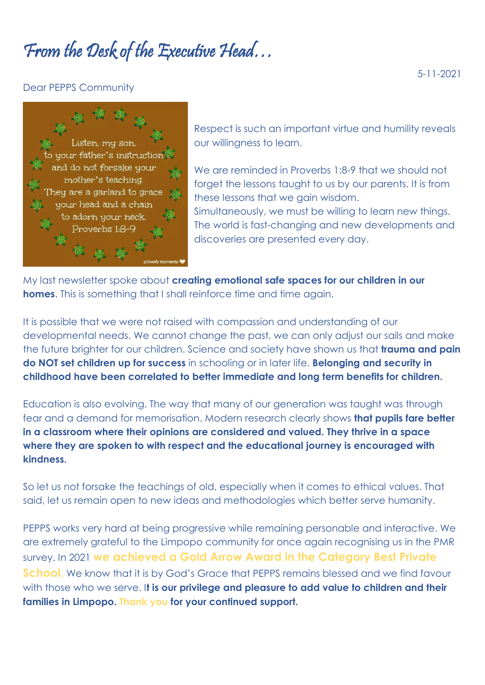## From the Desk of the Executive Head…

Dear PEPPS Community



Respect is such an important virtue and humility reveals our willingness to learn.

We are reminded in Proverbs 1:8-9 that we should not forget the lessons taught to us by our parents. It is from these lessons that we gain wisdom. Simultaneously, we must be willing to learn new things. The world is fast-changing and new developments and discoveries are presented every day.

My last newsletter spoke about **creating emotional safe spaces for our children in our homes**. This is something that I shall reinforce time and time again.

It is possible that we were not raised with compassion and understanding of our developmental needs. We cannot change the past, we can only adjust our sails and make the future brighter for our children. Science and society have shown us that **trauma and pain do NOT set children up for success** in schooling or in later life. **Belonging and security in childhood have been correlated to better immediate and long term benefits for children.**

Education is also evolving. The way that many of our generation was taught was through fear and a demand for memorisation. Modern research clearly shows **that pupils fare better in a classroom where their opinions are considered and valued. They thrive in a space where they are spoken to with respect and the educational journey is encouraged with kindness.**

So let us not forsake the teachings of old, especially when it comes to ethical values. That said, let us remain open to new ideas and methodologies which better serve humanity.

PEPPS works very hard at being progressive while remaining personable and interactive. We are extremely grateful to the Limpopo community for once again recognising us in the PMR survey. In 2021 **we achieved a Gold Arrow Award in the Category Best Private School**. We know that it is by God's Grace that PEPPS remains blessed and we find favour with those who we serve. I**t is our privilege and pleasure to add value to children and their families in Limpopo. Thank you for your continued support.**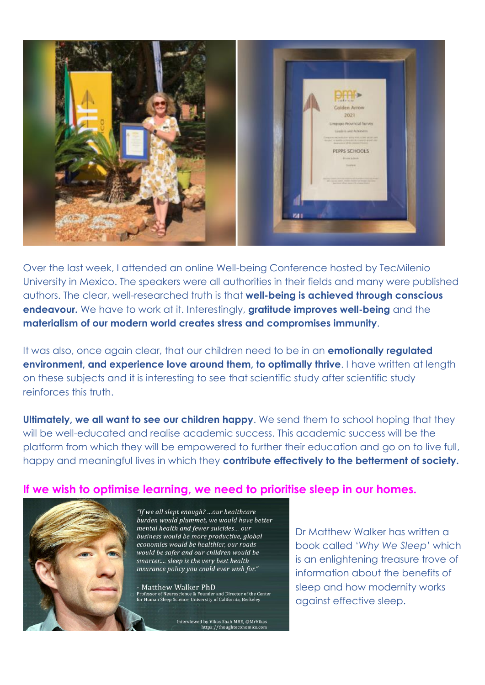

Over the last week, I attended an online Well-being Conference hosted by TecMilenio University in Mexico. The speakers were all authorities in their fields and many were published authors. The clear, well-researched truth is that **well-being is achieved through conscious endeavour.** We have to work at it. Interestingly, **gratitude improves well-being** and the **materialism of our modern world creates stress and compromises immunity**.

It was also, once again clear, that our children need to be in an **emotionally regulated environment, and experience love around them, to optimally thrive**. I have written at length on these subjects and it is interesting to see that scientific study after scientific study reinforces this truth.

**Ultimately, we all want to see our children happy.** We send them to school hoping that they will be well-educated and realise academic success. This academic success will be the platform from which they will be empowered to further their education and go on to live full, happy and meaningful lives in which they **contribute effectively to the betterment of society.**

## **If we wish to optimise learning, we need to prioritise sleep in our homes.**



"If we all slept enough? ...our healthcare burden would plummet, we would have better mental health and fewer suicides... our business would be more productive, global economies would be healthier, our roads would be safer and our children would be smarter.... sleep is the very best health insurance policy you could ever wish for."

- Matthew Walker PhD - **NIGLUIT W VAIKEI** FILD<br>Professor of Neuroscience & Founder and Director of the Center<br>for Human Sleep Science, University of California, Berkeley

Interviewed by Vikas Shah MBE, @MrVikas<br>https://thoughteconomics.com

Dr Matthew Walker has written a book called '*Why We Sleep*' which is an enlightening treasure trove of information about the benefits of sleep and how modernity works against effective sleep.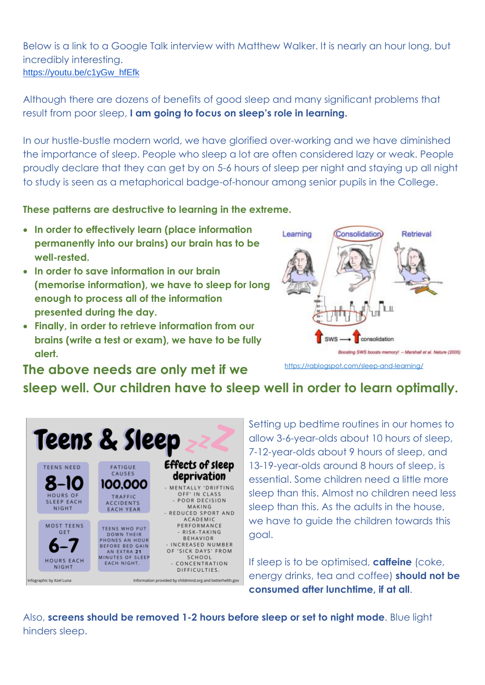Below is a link to a Google Talk interview with Matthew Walker. It is nearly an hour long, but incredibly interesting. [https://youtu.be/c1yGw\\_hfEfk](https://youtu.be/c1yGw_hfEfk)

Although there are dozens of benefits of good sleep and many significant problems that result from poor sleep, **I am going to focus on sleep's role in learning.**

In our hustle-bustle modern world, we have glorified over-working and we have diminished the importance of sleep. People who sleep a lot are often considered lazy or weak. People proudly declare that they can get by on 5-6 hours of sleep per night and staying up all night to study is seen as a metaphorical badge-of-honour among senior pupils in the College.

**These patterns are destructive to learning in the extreme.** 

- **In order to effectively learn (place information permanently into our brains) our brain has to be well-rested.**
- **In order to save information in our brain (memorise information), we have to sleep for long enough to process all of the information presented during the day.**
- **Finally, in order to retrieve information from our brains (write a test or exam), we have to be fully alert.**



## **The above needs are only met if we**

<https://rablogspot.com/sleep-and-learning/>

**sleep well. Our children have to sleep well in order to learn optimally.**



Setting up bedtime routines in our homes to allow 3-6-year-olds about 10 hours of sleep, 7-12-year-olds about 9 hours of sleep, and 13-19-year-olds around 8 hours of sleep, is essential. Some children need a little more sleep than this. Almost no children need less sleep than this. As the adults in the house, we have to quide the children towards this goal.

If sleep is to be optimised, **caffeine** (coke, energy drinks, tea and coffee) **should not be consumed after lunchtime, if at all**.

Also, **screens should be removed 1-2 hours before sleep or set to night mode**. Blue light hinders sleep.